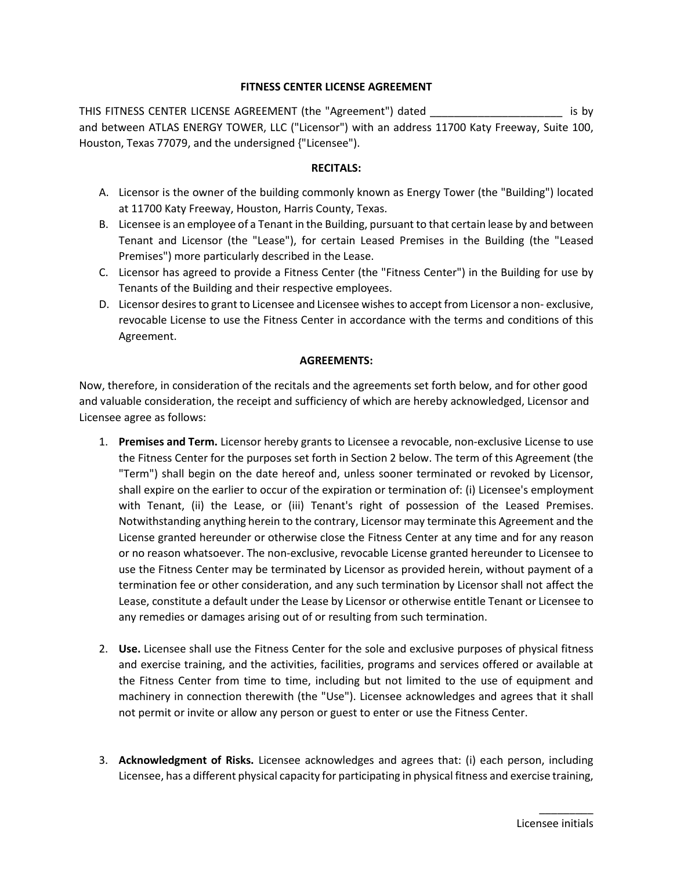# **FITNESS CENTER LICENSE AGREEMENT**

THIS FITNESS CENTER LICENSE AGREEMENT (the "Agreement") dated \_\_\_\_\_\_\_\_\_\_\_\_\_\_\_\_\_\_\_\_\_\_ is by and between ATLAS ENERGY TOWER, LLC ("Licensor") with an address 11700 Katy Freeway, Suite 100, Houston, Texas 77079, and the undersigned {"Licensee").

### **RECITALS:**

- A. Licensor is the owner of the building commonly known as Energy Tower (the "Building") located at 11700 Katy Freeway, Houston, Harris County, Texas.
- B. Licensee is an employee of a Tenant in the Building, pursuant to that certain lease by and between Tenant and Licensor (the "Lease"), for certain Leased Premises in the Building (the "Leased Premises") more particularly described in the Lease.
- C. Licensor has agreed to provide a Fitness Center (the "Fitness Center") in the Building for use by Tenants of the Building and their respective employees.
- D. Licensor desires to grant to Licensee and Licensee wishes to accept from Licensor a non- exclusive, revocable License to use the Fitness Center in accordance with the terms and conditions of this Agreement.

### **AGREEMENTS:**

Now, therefore, in consideration of the recitals and the agreements set forth below, and for other good and valuable consideration, the receipt and sufficiency of which are hereby acknowledged, Licensor and Licensee agree as follows:

- 1. **Premises and Term.** Licensor hereby grants to Licensee a revocable, non-exclusive License to use the Fitness Center for the purposes set forth in Section 2 below. The term of this Agreement (the "Term") shall begin on the date hereof and, unless sooner terminated or revoked by Licensor, shall expire on the earlier to occur of the expiration or termination of: (i) Licensee's employment with Tenant, (ii) the Lease, or (iii) Tenant's right of possession of the Leased Premises. Notwithstanding anything herein to the contrary, Licensor may terminate this Agreement and the License granted hereunder or otherwise close the Fitness Center at any time and for any reason or no reason whatsoever. The non-exclusive, revocable License granted hereunder to Licensee to use the Fitness Center may be terminated by Licensor as provided herein, without payment of a termination fee or other consideration, and any such termination by Licensor shall not affect the Lease, constitute a default under the Lease by Licensor or otherwise entitle Tenant or Licensee to any remedies or damages arising out of or resulting from such termination.
- 2. **Use.** Licensee shall use the Fitness Center for the sole and exclusive purposes of physical fitness and exercise training, and the activities, facilities, programs and services offered or available at the Fitness Center from time to time, including but not limited to the use of equipment and machinery in connection therewith (the "Use"). Licensee acknowledges and agrees that it shall not permit or invite or allow any person or guest to enter or use the Fitness Center.
- 3. **Acknowledgment of Risks.** Licensee acknowledges and agrees that: (i) each person, including Licensee, has a different physical capacity for participating in physical fitness and exercise training,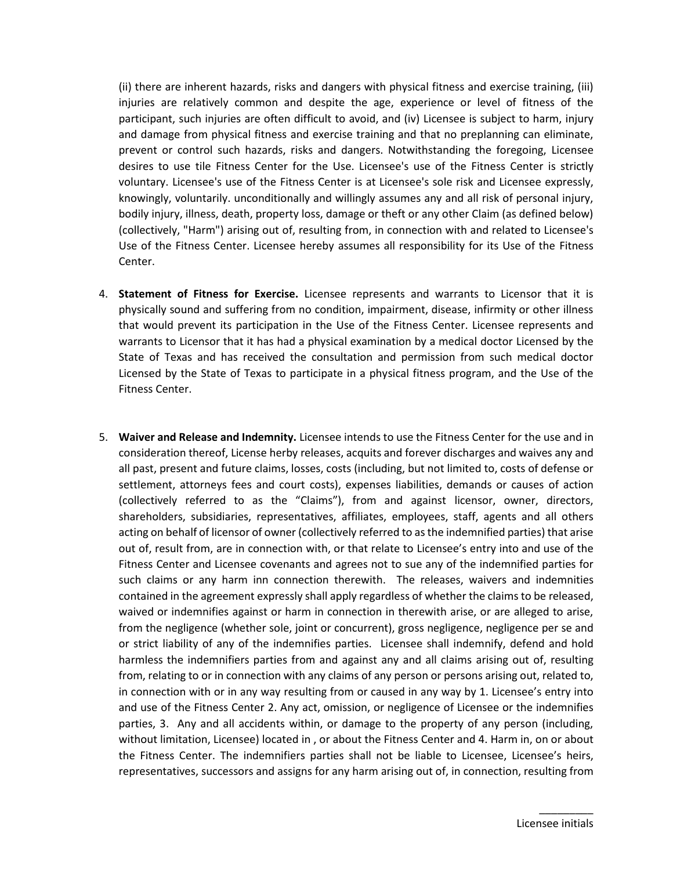(ii) there are inherent hazards, risks and dangers with physical fitness and exercise training, (iii) injuries are relatively common and despite the age, experience or level of fitness of the participant, such injuries are often difficult to avoid, and (iv) Licensee is subject to harm, injury and damage from physical fitness and exercise training and that no preplanning can eliminate, prevent or control such hazards, risks and dangers. Notwithstanding the foregoing, Licensee desires to use tile Fitness Center for the Use. Licensee's use of the Fitness Center is strictly voluntary. Licensee's use of the Fitness Center is at Licensee's sole risk and Licensee expressly, knowingly, voluntarily. unconditionally and willingly assumes any and all risk of personal injury, bodily injury, illness, death, property loss, damage or theft or any other Claim (as defined below) (collectively, "Harm") arising out of, resulting from, in connection with and related to Licensee's Use of the Fitness Center. Licensee hereby assumes all responsibility for its Use of the Fitness Center.

- 4. **Statement of Fitness for Exercise.** Licensee represents and warrants to Licensor that it is physically sound and suffering from no condition, impairment, disease, infirmity or other illness that would prevent its participation in the Use of the Fitness Center. Licensee represents and warrants to Licensor that it has had a physical examination by a medical doctor Licensed by the State of Texas and has received the consultation and permission from such medical doctor Licensed by the State of Texas to participate in a physical fitness program, and the Use of the Fitness Center.
- 5. **Waiver and Release and Indemnity.** Licensee intends to use the Fitness Center for the use and in consideration thereof, License herby releases, acquits and forever discharges and waives any and all past, present and future claims, losses, costs (including, but not limited to, costs of defense or settlement, attorneys fees and court costs), expenses liabilities, demands or causes of action (collectively referred to as the "Claims"), from and against licensor, owner, directors, shareholders, subsidiaries, representatives, affiliates, employees, staff, agents and all others acting on behalf of licensor of owner (collectively referred to as the indemnified parties) that arise out of, result from, are in connection with, or that relate to Licensee's entry into and use of the Fitness Center and Licensee covenants and agrees not to sue any of the indemnified parties for such claims or any harm inn connection therewith. The releases, waivers and indemnities contained in the agreement expressly shall apply regardless of whether the claims to be released, waived or indemnifies against or harm in connection in therewith arise, or are alleged to arise, from the negligence (whether sole, joint or concurrent), gross negligence, negligence per se and or strict liability of any of the indemnifies parties. Licensee shall indemnify, defend and hold harmless the indemnifiers parties from and against any and all claims arising out of, resulting from, relating to or in connection with any claims of any person or persons arising out, related to, in connection with or in any way resulting from or caused in any way by 1. Licensee's entry into and use of the Fitness Center 2. Any act, omission, or negligence of Licensee or the indemnifies parties, 3. Any and all accidents within, or damage to the property of any person (including, without limitation, Licensee) located in , or about the Fitness Center and 4. Harm in, on or about the Fitness Center. The indemnifiers parties shall not be liable to Licensee, Licensee's heirs, representatives, successors and assigns for any harm arising out of, in connection, resulting from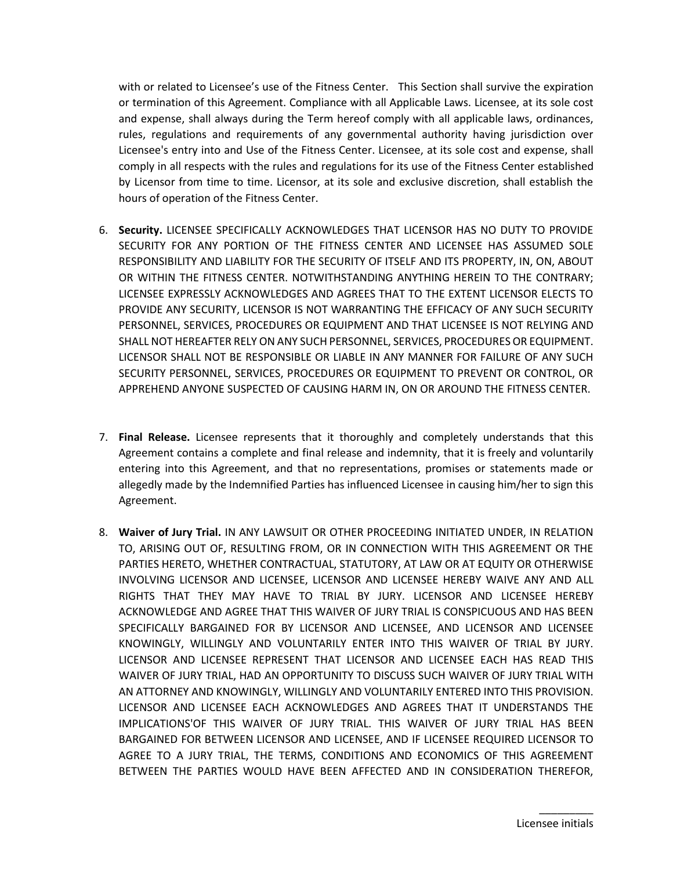with or related to Licensee's use of the Fitness Center. This Section shall survive the expiration or termination of this Agreement. Compliance with all Applicable Laws. Licensee, at its sole cost and expense, shall always during the Term hereof comply with all applicable laws, ordinances, rules, regulations and requirements of any governmental authority having jurisdiction over Licensee's entry into and Use of the Fitness Center. Licensee, at its sole cost and expense, shall comply in all respects with the rules and regulations for its use of the Fitness Center established by Licensor from time to time. Licensor, at its sole and exclusive discretion, shall establish the hours of operation of the Fitness Center.

- 6. **Security.** LICENSEE SPECIFICALLY ACKNOWLEDGES THAT LICENSOR HAS NO DUTY TO PROVIDE SECURITY FOR ANY PORTION OF THE FITNESS CENTER AND LICENSEE HAS ASSUMED SOLE RESPONSIBILITY AND LIABILITY FOR THE SECURITY OF ITSELF AND ITS PROPERTY, IN, ON, ABOUT OR WITHIN THE FITNESS CENTER. NOTWITHSTANDING ANYTHING HEREIN TO THE CONTRARY; LICENSEE EXPRESSLY ACKNOWLEDGES AND AGREES THAT TO THE EXTENT LICENSOR ELECTS TO PROVIDE ANY SECURITY, LICENSOR IS NOT WARRANTING THE EFFICACY OF ANY SUCH SECURITY PERSONNEL, SERVICES, PROCEDURES OR EQUIPMENT AND THAT LICENSEE IS NOT RELYING AND SHALL NOT HEREAFTER RELY ON ANY SUCH PERSONNEL, SERVICES, PROCEDURES OR EQUIPMENT. LICENSOR SHALL NOT BE RESPONSIBLE OR LIABLE IN ANY MANNER FOR FAILURE OF ANY SUCH SECURITY PERSONNEL, SERVICES, PROCEDURES OR EQUIPMENT TO PREVENT OR CONTROL, OR APPREHEND ANYONE SUSPECTED OF CAUSING HARM IN, ON OR AROUND THE FITNESS CENTER.
- 7. **Final Release.** Licensee represents that it thoroughly and completely understands that this Agreement contains a complete and final release and indemnity, that it is freely and voluntarily entering into this Agreement, and that no representations, promises or statements made or allegedly made by the Indemnified Parties has influenced Licensee in causing him/her to sign this Agreement.
- 8. **Waiver of Jury Trial.** IN ANY LAWSUIT OR OTHER PROCEEDING INITIATED UNDER, IN RELATION TO, ARISING OUT OF, RESULTING FROM, OR IN CONNECTION WITH THIS AGREEMENT OR THE PARTIES HERETO, WHETHER CONTRACTUAL, STATUTORY, AT LAW OR AT EQUITY OR OTHERWISE INVOLVING LICENSOR AND LICENSEE, LICENSOR AND LICENSEE HEREBY WAIVE ANY AND ALL RIGHTS THAT THEY MAY HAVE TO TRIAL BY JURY. LICENSOR AND LICENSEE HEREBY ACKNOWLEDGE AND AGREE THAT THIS WAIVER OF JURY TRIAL IS CONSPICUOUS AND HAS BEEN SPECIFICALLY BARGAINED FOR BY LICENSOR AND LICENSEE, AND LICENSOR AND LICENSEE KNOWINGLY, WILLINGLY AND VOLUNTARILY ENTER INTO THIS WAIVER OF TRIAL BY JURY. LICENSOR AND LICENSEE REPRESENT THAT LICENSOR AND LICENSEE EACH HAS READ THIS WAIVER OF JURY TRIAL, HAD AN OPPORTUNITY TO DISCUSS SUCH WAIVER OF JURY TRIAL WITH AN ATTORNEY AND KNOWINGLY, WILLINGLY AND VOLUNTARILY ENTERED INTO THIS PROVISION. LICENSOR AND LICENSEE EACH ACKNOWLEDGES AND AGREES THAT IT UNDERSTANDS THE IMPLICATIONS'OF THIS WAIVER OF JURY TRIAL. THIS WAIVER OF JURY TRIAL HAS BEEN BARGAINED FOR BETWEEN LICENSOR AND LICENSEE, AND IF LICENSEE REQUIRED LICENSOR TO AGREE TO A JURY TRIAL, THE TERMS, CONDITIONS AND ECONOMICS OF THIS AGREEMENT BETWEEN THE PARTIES WOULD HAVE BEEN AFFECTED AND IN CONSIDERATION THEREFOR,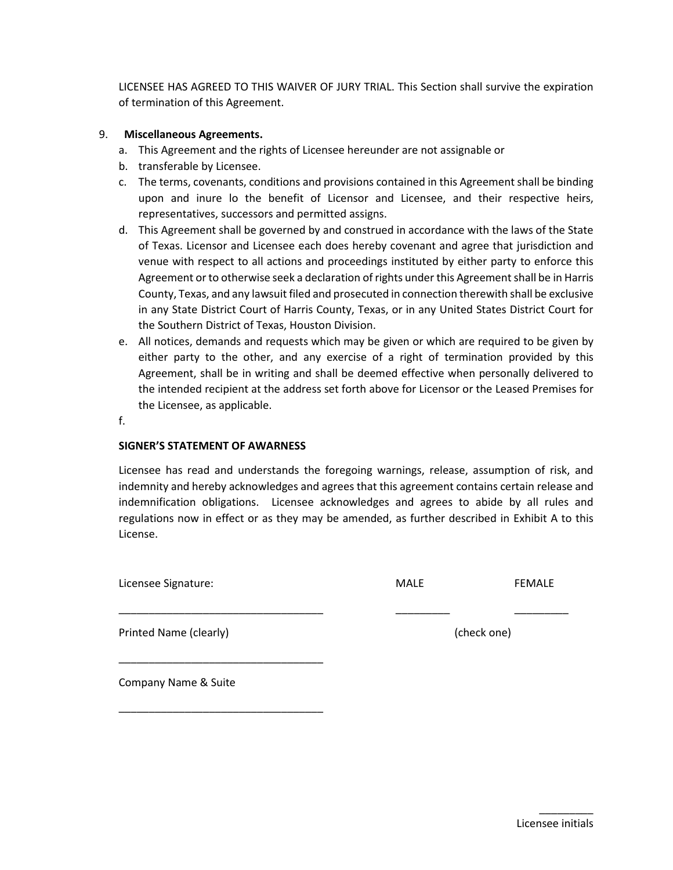LICENSEE HAS AGREED TO THIS WAIVER OF JURY TRIAL. This Section shall survive the expiration of termination of this Agreement.

# 9. **Miscellaneous Agreements.**

- a. This Agreement and the rights of Licensee hereunder are not assignable or
- b. transferable by Licensee.
- c. The terms, covenants, conditions and provisions contained in this Agreement shall be binding upon and inure lo the benefit of Licensor and Licensee, and their respective heirs, representatives, successors and permitted assigns.
- d. This Agreement shall be governed by and construed in accordance with the laws of the State of Texas. Licensor and Licensee each does hereby covenant and agree that jurisdiction and venue with respect to all actions and proceedings instituted by either party to enforce this Agreement or to otherwise seek a declaration of rights under this Agreement shall be in Harris County, Texas, and any lawsuit filed and prosecuted in connection therewith shall be exclusive in any State District Court of Harris County, Texas, or in any United States District Court for the Southern District of Texas, Houston Division.
- e. All notices, demands and requests which may be given or which are required to be given by either party to the other, and any exercise of a right of termination provided by this Agreement, shall be in writing and shall be deemed effective when personally delivered to the intended recipient at the address set forth above for Licensor or the Leased Premises for the Licensee, as applicable.

f.

#### **SIGNER'S STATEMENT OF AWARNESS**

Licensee has read and understands the foregoing warnings, release, assumption of risk, and indemnity and hereby acknowledges and agrees that this agreement contains certain release and indemnification obligations. Licensee acknowledges and agrees to abide by all rules and regulations now in effect or as they may be amended, as further described in Exhibit A to this License.

\_\_\_\_\_\_\_\_\_\_\_\_\_\_\_\_\_\_\_\_\_\_\_\_\_\_\_\_\_\_\_\_\_\_ \_\_\_\_\_\_\_\_\_ \_\_\_\_\_\_\_\_\_

Licensee Signature: MALE FEMALE

Printed Name (clearly) and the control of the check one) and check one)

Company Name & Suite

\_\_\_\_\_\_\_\_\_\_\_\_\_\_\_\_\_\_\_\_\_\_\_\_\_\_\_\_\_\_\_\_\_\_

\_\_\_\_\_\_\_\_\_\_\_\_\_\_\_\_\_\_\_\_\_\_\_\_\_\_\_\_\_\_\_\_\_\_